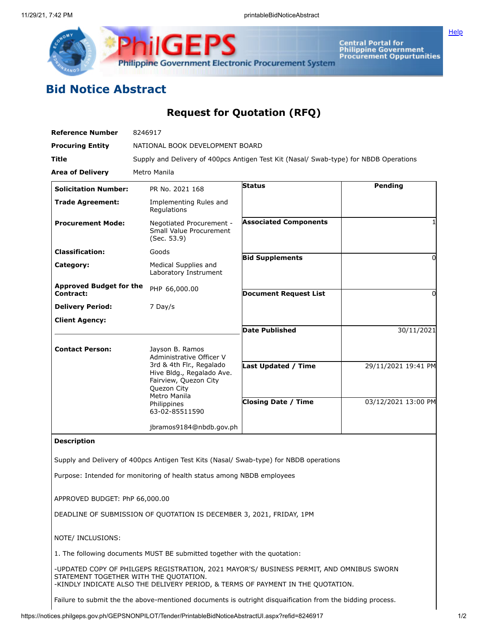

Central Portal for<br>Philippine Government<br>Procurement Oppurtunities

**[Help](javascript:void(window.open()** 

## **Bid Notice Abstract**

## **Request for Quotation (RFQ)**

| <b>Reference Number</b>                                              | 8246917                                                                                                                                      |                              |                     |
|----------------------------------------------------------------------|----------------------------------------------------------------------------------------------------------------------------------------------|------------------------------|---------------------|
| <b>Procuring Entity</b>                                              | NATIONAL BOOK DEVELOPMENT BOARD                                                                                                              |                              |                     |
| Title                                                                | Supply and Delivery of 400pcs Antigen Test Kit (Nasal/ Swab-type) for NBDB Operations                                                        |                              |                     |
| <b>Area of Delivery</b>                                              | Metro Manila                                                                                                                                 |                              |                     |
| <b>Solicitation Number:</b>                                          | PR No. 2021 168                                                                                                                              | <b>Status</b>                | Pending             |
| <b>Trade Agreement:</b>                                              | Implementing Rules and<br>Regulations                                                                                                        |                              |                     |
| <b>Procurement Mode:</b>                                             | Negotiated Procurement -<br>Small Value Procurement<br>(Sec. 53.9)                                                                           | <b>Associated Components</b> |                     |
| <b>Classification:</b>                                               | Goods                                                                                                                                        | <b>Bid Supplements</b>       |                     |
| Category:                                                            | Medical Supplies and<br>Laboratory Instrument                                                                                                |                              | 0                   |
| <b>Approved Budget for the</b><br>Contract:                          | PHP 66,000.00                                                                                                                                | <b>Document Request List</b> | 0                   |
| <b>Delivery Period:</b>                                              | 7 Day/s                                                                                                                                      |                              |                     |
| <b>Client Agency:</b>                                                |                                                                                                                                              |                              |                     |
|                                                                      |                                                                                                                                              | <b>Date Published</b>        | 30/11/2021          |
| <b>Contact Person:</b>                                               | Jayson B. Ramos<br>Administrative Officer V<br>3rd & 4th Flr., Regalado<br>Hive Bldg., Regalado Ave.<br>Fairview, Quezon City<br>Quezon City |                              |                     |
|                                                                      |                                                                                                                                              | <b>Last Updated / Time</b>   | 29/11/2021 19:41 PM |
|                                                                      | Metro Manila<br>Philippines<br>63-02-85511590                                                                                                | <b>Closing Date / Time</b>   | 03/12/2021 13:00 PM |
|                                                                      | jbramos9184@nbdb.gov.ph                                                                                                                      |                              |                     |
| <b>Description</b>                                                   |                                                                                                                                              |                              |                     |
|                                                                      | Supply and Delivery of 400pcs Antigen Test Kits (Nasal/ Swab-type) for NBDB operations                                                       |                              |                     |
|                                                                      | Purpose: Intended for monitoring of health status among NBDB employees                                                                       |                              |                     |
| APPROVED BUDGET: PhP 66,000.00                                       |                                                                                                                                              |                              |                     |
| DEADLINE OF SUBMISSION OF QUOTATION IS DECEMBER 3, 2021, FRIDAY, 1PM |                                                                                                                                              |                              |                     |
| NOTE/ INCLUSIONS:                                                    |                                                                                                                                              |                              |                     |

1. The following documents MUST BE submitted together with the quotation:

-UPDATED COPY OF PHILGEPS REGISTRATION, 2021 MAYOR'S/ BUSINESS PERMIT, AND OMNIBUS SWORN STATEMENT TOGETHER WITH THE QUOTATION. -KINDLY INDICATE ALSO THE DELIVERY PERIOD, & TERMS OF PAYMENT IN THE QUOTATION.

Failure to submit the the above-mentioned documents is outright disquaification from the bidding process.